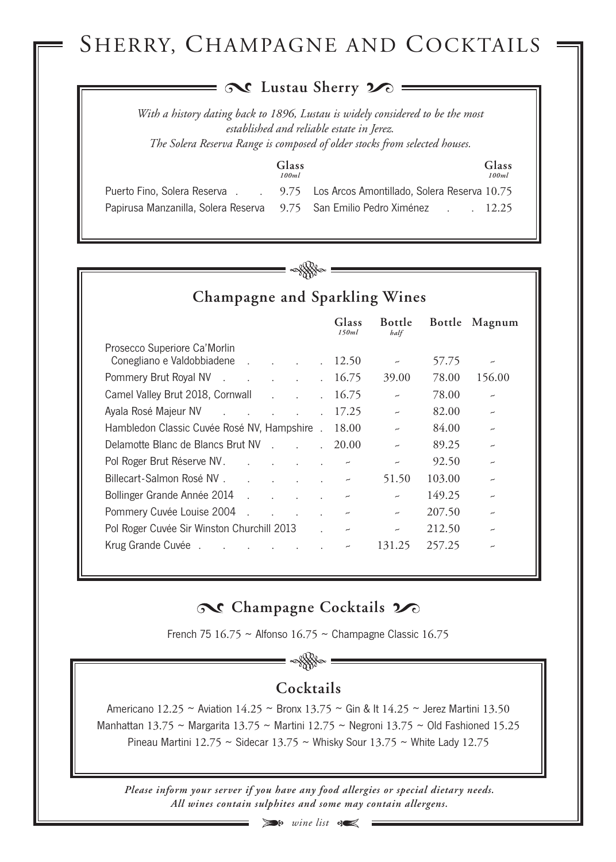# SHERRY, CHAMPAGNE AND COCKTAILS

### **Lustau Sherry**

*With a history dating back to 1896, Lustau is widely considered to be the most established and reliable estate in Jerez. The Solera Reserva Range is composed of older stocks from selected houses.*

| - - | ٠<br>î.<br>. .<br>×<br>۰. |
|-----|---------------------------|
|     |                           |

Puerto Fino, Solera Reserva.

Papirusa Manzanilla, Solera Reserva 9.75 San Emilio Pedro Ximénez . 12.25 **Glass** 9.75 Los Arcos Amontillado, Solera Reserva 10.75 *100ml 100ml*



**Champagne and Sparkling Wines**

|                                                                                               |                      | Glass<br>150ml           | <b>Bottle</b><br>half    | Bottle | Magnum                   |
|-----------------------------------------------------------------------------------------------|----------------------|--------------------------|--------------------------|--------|--------------------------|
| Prosecco Superiore Ca' Morlin                                                                 |                      |                          |                          |        |                          |
| Conegliano e Valdobbiadene                                                                    | $\sim$               | 12.50                    | $\overline{\phantom{m}}$ | 57.75  | $\overline{\phantom{0}}$ |
| Pommery Brut Royal NV<br><b>Contract Contract Street</b>                                      |                      | 16.75                    | 39.00                    | 78.00  | 156.00                   |
| Camel Valley Brut 2018, Cornwall<br>$\mathcal{L}^{\text{max}}$ and $\mathcal{L}^{\text{max}}$ | $\ddot{\phantom{a}}$ | 16.75                    | $\overline{\phantom{m}}$ | 78.00  | $\overline{\phantom{0}}$ |
| Ayala Rosé Majeur NV<br>the contract of the contract of                                       | $\mathbf{r}$         | 17.25                    | $\overline{\phantom{m}}$ | 82.00  | $\overline{\phantom{0}}$ |
| Hambledon Classic Cuvée Rosé NV, Hampshire.                                                   |                      | 18.00                    | $\overline{\phantom{0}}$ | 84.00  | $\overline{\phantom{0}}$ |
| Delamotte Blanc de Blancs Brut NV                                                             | $\mathbf{r}$         | 20.00                    |                          | 89.25  | $\overline{\phantom{0}}$ |
| Pol Roger Brut Réserve NV.<br>and the contract of the contract of                             | $\mathbf{r}$         |                          | $\overline{\phantom{0}}$ | 92.50  | $\overline{\phantom{0}}$ |
| Billecart-Salmon Rosé NV.                                                                     |                      | $\overline{\phantom{m}}$ | 51.50                    | 103.00 | $\overline{\phantom{0}}$ |
| Bollinger Grande Année 2014<br>$\mathcal{L}$<br>$\sim$ $\sim$                                 |                      |                          | $\overline{\phantom{0}}$ | 149.25 | $\overline{\phantom{0}}$ |
| Pommery Cuvée Louise 2004<br>$\mathbb{R}^2$<br>$\mathbb{R}^n$ . The set of $\mathbb{R}^n$     | $\mathbf{r}$         | $\overline{\phantom{0}}$ | $\overline{\phantom{m}}$ | 207.50 | $\overline{\phantom{0}}$ |
| Pol Roger Cuvée Sir Winston Churchill 2013                                                    |                      | $\overline{\phantom{m}}$ | $\overline{\phantom{0}}$ | 212.50 | ب                        |
| Krug Grande Cuvée.                                                                            |                      | $\overline{\phantom{a}}$ | 131.25                   | 257.25 | ∼                        |

## **Champagne** Cocktails  $2$

French 75  $16.75 \sim$  Alfonso  $16.75 \sim$  Champagne Classic  $16.75$ 

### **Cocktails**

Americano 12.25 ~ Aviation 14.25 ~ Bronx 13.75 ~ Gin & It 14.25 ~ Jerez Martini 13.50 Manhattan 13.75 ~ Margarita 13.75 ~ Martini 12.75 ~ Negroni 13.75 ~ Old Fashioned 15.25 Pineau Martini 12.75 ~ Sidecar 13.75 ~ Whisky Sour 13.75 ~ White Lady 12.75

*Please inform your server if you have any food allergies or special dietary needs. All wines contain sulphites and some may contain allergens.*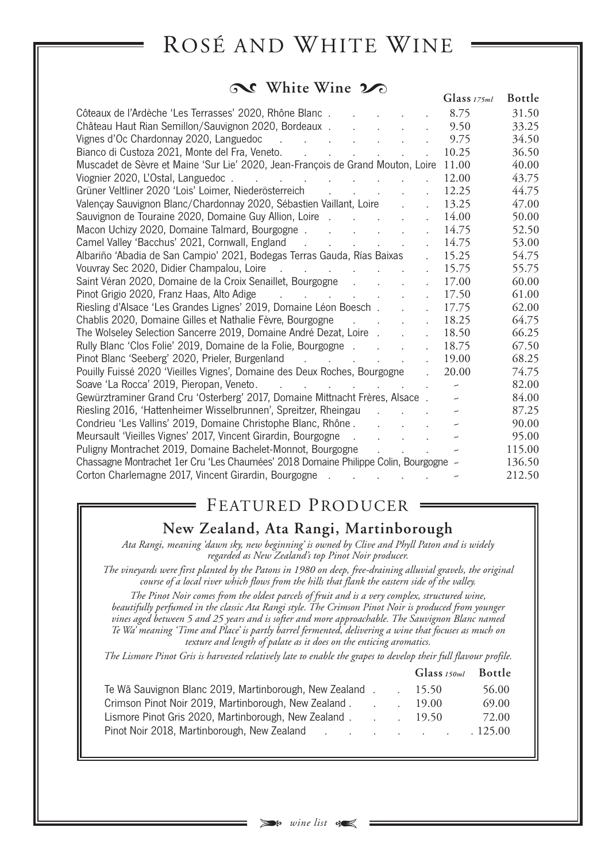# ROSÉ AND WHITE WINE

#### **No. White Wine**

|                                                                                                                                                                | Glass $175ml$            | <b>Bottle</b> |
|----------------------------------------------------------------------------------------------------------------------------------------------------------------|--------------------------|---------------|
| Côteaux de l'Ardèche 'Les Terrasses' 2020, Rhône Blanc                                                                                                         | 8.75                     | 31.50         |
| Château Haut Rian Semillon/Sauvignon 2020, Bordeaux<br>$\mathbf{r}$                                                                                            | 9.50                     | 33.25         |
|                                                                                                                                                                | 9.75                     | 34.50         |
| Bianco di Custoza 2021, Monte del Fra, Veneto. (Chercale Contractorum contractorum contractorum contractorum c<br>$\mathcal{L}^{\mathcal{A}}$                  | 10.25                    | 36.50         |
| Muscadet de Sèvre et Maine 'Sur Lie' 2020, Jean-François de Grand Mouton, Loire 11.00                                                                          |                          | 40.00         |
| Viognier 2020, L'Ostal, Languedoc.<br>the contract of the contract of the contract of<br>$\mathbb{R}^{\mathbb{Z}}$                                             | 12.00                    | 43.75         |
| Grüner Veltliner 2020 'Lois' Loimer, Niederösterreich<br>$\mathcal{L}^{\text{max}}(\mathcal{L}^{\text{max}}(\mathcal{L}^{\text{max}}))$<br>$\sim 10^{-1}$      | 12.25                    | 44.75         |
| Valençay Sauvignon Blanc/Chardonnay 2020, Sébastien Vaillant, Loire<br>$\mathbf{r}$                                                                            | 13.25                    | 47.00         |
| Sauvignon de Touraine 2020, Domaine Guy Allion, Loire<br>$\mathbf{r}$                                                                                          | 14.00                    | 50.00         |
| Macon Uchizy 2020, Domaine Talmard, Bourgogne<br>$\ddot{\phantom{a}}$                                                                                          | 14.75                    | 52.50         |
| Camel Valley 'Bacchus' 2021, Cornwall, England<br>$\mathbb{R}^{\mathbb{Z}}$                                                                                    | 14.75                    | 53.00         |
| Albariño 'Abadia de San Campio' 2021, Bodegas Terras Gauda, Rías Baixas                                                                                        | 15.25                    | 54.75         |
| $\mathbf{r}$                                                                                                                                                   | 15.75                    | 55.75         |
| Saint Véran 2020, Domaine de la Croix Senaillet, Bourgogne<br>$\mathbf{r}$                                                                                     | 17.00                    | 60.00         |
| Pinot Grigio 2020, Franz Haas, Alto Adige (all contracts of the contracts of the contracts of the contracts of<br>$\mathcal{L}^{\text{max}}$                   | 17.50                    | 61.00         |
| Riesling d'Alsace 'Les Grandes Lignes' 2019, Domaine Léon Boesch.<br>$\mathbf{r}$                                                                              | 17.75                    | 62.00         |
| Chablis 2020, Domaine Gilles et Nathalie Fèvre, Bourgogne<br>$\mathcal{L} = \mathcal{L}$<br>$\mathcal{L}^{\text{max}}$<br>$\mathbf{r}$                         | 18.25                    | 64.75         |
| The Wolseley Selection Sancerre 2019, Domaine André Dezat, Loire<br>$\ddot{\phantom{a}}$                                                                       | 18.50                    | 66.25         |
| Rully Blanc 'Clos Folie' 2019, Domaine de la Folie, Bourgogne<br>$\mathbf{r}$                                                                                  | 18.75                    | 67.50         |
| Pinot Blanc 'Seeberg' 2020, Prieler, Burgenland<br>$\mathbf{r}$                                                                                                | 19.00                    | 68.25         |
| Pouilly Fuissé 2020 'Vieilles Vignes', Domaine des Deux Roches, Bourgogne<br>$\mathbb{R}^{\mathbb{Z}^2}$                                                       | 20.00                    | 74.75         |
| Soave 'La Rocca' 2019, Pieropan, Veneto.<br>and the contract of the contract of the contract of                                                                | $\overline{\phantom{a}}$ | 82.00         |
| Gewürztraminer Grand Cru 'Osterberg' 2017, Domaine Mittnacht Frères, Alsace.                                                                                   | $\overline{\phantom{0}}$ | 84.00         |
| Riesling 2016, 'Hattenheimer Wisselbrunnen', Spreitzer, Rheingau<br>$\mathcal{L}^{\text{max}}$ and $\mathcal{L}^{\text{max}}$ . The $\mathcal{L}^{\text{max}}$ | $\overline{\phantom{a}}$ | 87.25         |
| Condrieu 'Les Vallins' 2019, Domaine Christophe Blanc, Rhône                                                                                                   |                          | 90.00         |
| Meursault 'Vieilles Vignes' 2017, Vincent Girardin, Bourgogne<br>and the state of the state of the<br>$\sim$                                                   | $\overline{\phantom{m}}$ | 95.00         |
| Puligny Montrachet 2019, Domaine Bachelet-Monnot, Bourgogne                                                                                                    |                          | 115.00        |
| Chassagne Montrachet 1er Cru 'Les Chaumées' 2018 Domaine Philippe Colin, Bourgogne -                                                                           |                          | 136.50        |
| Corton Charlemagne 2017, Vincent Girardin, Bourgogne                                                                                                           |                          | 212.50        |

## FEATURED PRODUCER

 $=$ 

### **New Zealand, Ata Rangi, Martinborough**

*Ata Rangi, meaning 'dawn sky, new beginning' is owned by Clive and Phyll Paton and is widely regarded as New Zealand's top Pinot Noir producer.*

The vineyards were first planted by the Patons in 1980 on deep, free-draining alluvial gravels, the original *course of a local river which flows from the hills that flank the eastern side of the valley.*

*The Pinot Noir comes from the oldest parcels of fruit and is a very complex, structured wine, beautifully perfumed in the classic Ata Rangi style. The Crimson Pinot Noir is produced from younger vines aged between 5 and 25 years and is softer and more approachable. The Sauvignon Blanc named* Te Wa' meaning 'Time and Place' is partly barrel fermented, delivering a wine that focuses as much on *texture and length of palate as it does on the enticing aromatics.*

The Lismore Pinot Gris is harvested relatively late to enable the grapes to develop their full flavour profile.

|                                                                                                                                                                |  | Glass 150ml Bottle |         |
|----------------------------------------------------------------------------------------------------------------------------------------------------------------|--|--------------------|---------|
| Te Wã Sauvignon Blanc 2019, Martinborough, New Zealand.                                                                                                        |  | 15.50              | 56.00   |
| Crimson Pinot Noir 2019, Martinborough, New Zealand.                                                                                                           |  | 19.00              | 69.00   |
| Lismore Pinot Gris 2020, Martinborough, New Zealand.                                                                                                           |  | 19.50              | 72.00   |
| Pinot Noir 2018, Martinborough, New Zealand<br>the contract of the contract of the contract of the contract of the contract of the contract of the contract of |  |                    | .125.00 |
|                                                                                                                                                                |  |                    |         |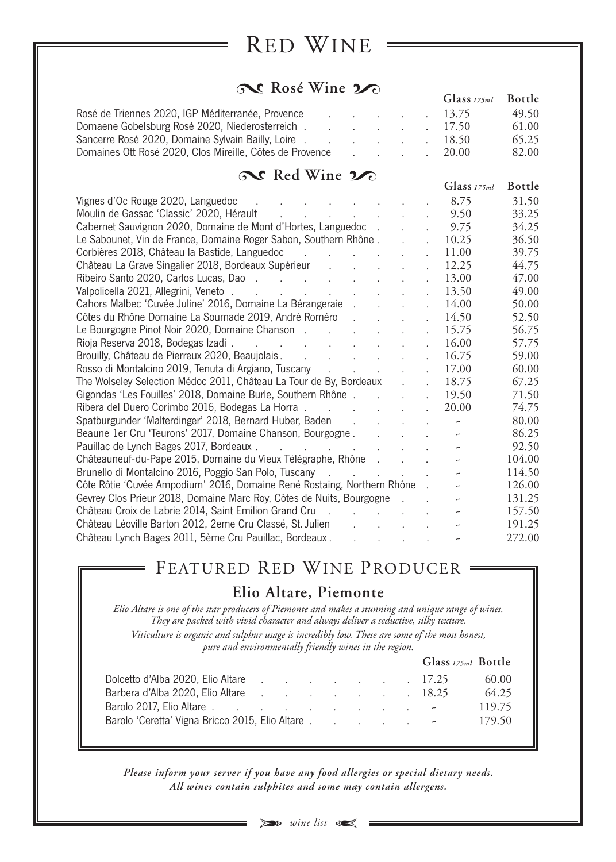# RED WINE

### $\infty$  Rosé Wine  $\infty$

| $\sigma \gg 1008$ will $\sim \sigma$                     |                                     |                                 |  | Glass <sub>175ml</sub> Bottle |       |
|----------------------------------------------------------|-------------------------------------|---------------------------------|--|-------------------------------|-------|
| Rosé de Triennes 2020, IGP Méditerranée, Provence        | the contract of the contract of the |                                 |  | 13.75                         | 49.50 |
| Domaene Gobelsburg Rosé 2020, Niederosterreich. 17.50    |                                     |                                 |  |                               | 61.00 |
|                                                          |                                     |                                 |  | 18.50                         | 65.25 |
| Domaines Ott Rosé 2020, Clos Mireille, Côtes de Provence |                                     | the contract of the contract of |  | 20.00                         | 82.00 |

| Red Wine 20                                                                                                                                 |                                                                                                     |                           |                            |                          |               |
|---------------------------------------------------------------------------------------------------------------------------------------------|-----------------------------------------------------------------------------------------------------|---------------------------|----------------------------|--------------------------|---------------|
|                                                                                                                                             |                                                                                                     |                           |                            | Glass $175ml$            | <b>Bottle</b> |
| Vignes d'Oc Rouge 2020, Languedoc<br>$\mathbf{r}$ , $\mathbf{r}$ , $\mathbf{r}$ , $\mathbf{r}$ , $\mathbf{r}$ , $\mathbf{r}$ , $\mathbf{r}$ |                                                                                                     | <b>Contract Contract</b>  |                            | 8.75                     | 31.50         |
| Moulin de Gassac 'Classic' 2020, Hérault (Collection Collection Collection Collection Collection Collection Co                              |                                                                                                     |                           | $\mathbf{r}$               | 9.50                     | 33.25         |
| Cabernet Sauvignon 2020, Domaine de Mont d'Hortes, Languedoc.                                                                               |                                                                                                     |                           |                            | 9.75                     | 34.25         |
| Le Sabounet, Vin de France, Domaine Roger Sabon, Southern Rhône.                                                                            |                                                                                                     | $\mathbb{R}^{n \times n}$ |                            | 10.25                    | 36.50         |
| Corbières 2018, Château la Bastide, Languedoc                                                                                               |                                                                                                     |                           | $\mathbf{L}$               | 11.00                    | 39.75         |
| Château La Grave Singalier 2018, Bordeaux Supérieur                                                                                         |                                                                                                     |                           |                            | 12.25                    | 44.75         |
| Ribeiro Santo 2020, Carlos Lucas, Dao.                                                                                                      |                                                                                                     |                           |                            | 13.00                    | 47.00         |
|                                                                                                                                             |                                                                                                     |                           |                            | 13.50                    | 49.00         |
| Cahors Malbec 'Cuvée Juline' 2016, Domaine La Bérangeraie                                                                                   |                                                                                                     |                           | $\ddot{\phantom{a}}$       | 14.00                    | 50.00         |
| Côtes du Rhône Domaine La Soumade 2019, André Roméro                                                                                        |                                                                                                     |                           |                            | 14.50                    | 52.50         |
| Le Bourgogne Pinot Noir 2020, Domaine Chanson                                                                                               |                                                                                                     |                           | $\ddot{\phantom{a}}$       | 15.75                    | 56.75         |
|                                                                                                                                             |                                                                                                     |                           | $\ddot{\phantom{a}}$       | 16.00                    | 57.75         |
| Brouilly, Château de Pierreux 2020, Beaujolais. (Changle Changeline Changle Changeline Changle Changle                                      |                                                                                                     |                           |                            | 16.75                    | 59.00         |
| Rosso di Montalcino 2019, Tenuta di Argiano, Tuscany                                                                                        |                                                                                                     |                           | $\mathbf{L}$               | 17.00                    | 60.00         |
| The Wolseley Selection Médoc 2011, Château La Tour de By, Bordeaux.                                                                         |                                                                                                     |                           | $\mathbf{r}$               | 18.75                    | 67.25         |
| Gigondas 'Les Fouilles' 2018, Domaine Burle, Southern Rhône                                                                                 |                                                                                                     |                           | $\mathcal{L}^{\text{max}}$ | 19.50                    | 71.50         |
| Ribera del Duero Corimbo 2016, Bodegas La Horra                                                                                             |                                                                                                     |                           |                            | 20.00                    | 74.75         |
| Spatburgunder 'Malterdinger' 2018, Bernard Huber, Baden                                                                                     |                                                                                                     |                           |                            | $\overline{\phantom{m}}$ | 80.00         |
| Beaune 1er Cru 'Teurons' 2017, Domaine Chanson, Bourgogne.                                                                                  |                                                                                                     |                           |                            | $\overline{\phantom{a}}$ | 86.25         |
| Pauillac de Lynch Bages 2017, Bordeaux.<br>the contract of the contract of the contract of                                                  |                                                                                                     |                           |                            | $\overline{\phantom{m}}$ | 92.50         |
| Châteauneuf-du-Pape 2015, Domaine du Vieux Télégraphe, Rhône                                                                                |                                                                                                     |                           |                            | $\overline{\phantom{m}}$ | 104.00        |
| Brunello di Montalcino 2016, Poggio San Polo, Tuscany                                                                                       |                                                                                                     |                           |                            | $\overline{\phantom{m}}$ | 114.50        |
| Côte Rôtie 'Cuvée Ampodium' 2016, Domaine René Rostaing, Northern Rhône.                                                                    |                                                                                                     |                           |                            | $\overline{\phantom{m}}$ | 126.00        |
| Gevrey Clos Prieur 2018, Domaine Marc Roy, Côtes de Nuits, Bourgogne                                                                        |                                                                                                     |                           |                            |                          | 131.25        |
|                                                                                                                                             |                                                                                                     |                           |                            | $\overline{\phantom{m}}$ | 157.50        |
| Château Léoville Barton 2012, 2eme Cru Classé, St. Julien                                                                                   |                                                                                                     |                           |                            |                          | 191.25        |
| Château Lynch Bages 2011, 5ème Cru Pauillac, Bordeaux.                                                                                      | $\mathbf{u}^{\prime}$ and $\mathbf{u}^{\prime}$ and $\mathbf{u}^{\prime}$ and $\mathbf{u}^{\prime}$ |                           |                            |                          | 272.00        |

## FEATURED RED WINE PRODUCER

### **Elio Altare, Piemonte**

Elio Altare is one of the star producers of Piemonte and makes a stunning and unique range of wines. *They are packed with vivid character and always deliver a seductive, silky texture. Viticulture is organic and sulphur usage is incredibly low. These are some of the most honest,*

*pure and environmentally friendly wines in the region.*

|                                                 |  |  |  | Glass 175ml Bottle |
|-------------------------------------------------|--|--|--|--------------------|
| Dolcetto d'Alba 2020, Elio Altare 17.25         |  |  |  | 60.00              |
| Barbera d'Alba 2020, Elio Altare 18.25          |  |  |  | 64.25              |
|                                                 |  |  |  | 119.75             |
| Barolo 'Ceretta' Vigna Bricco 2015, Elio Altare |  |  |  | 179.50             |
|                                                 |  |  |  |                    |

*Please inform your server if you have any food allergies or special dietary needs. All wines contain sulphites and some may contain allergens.*